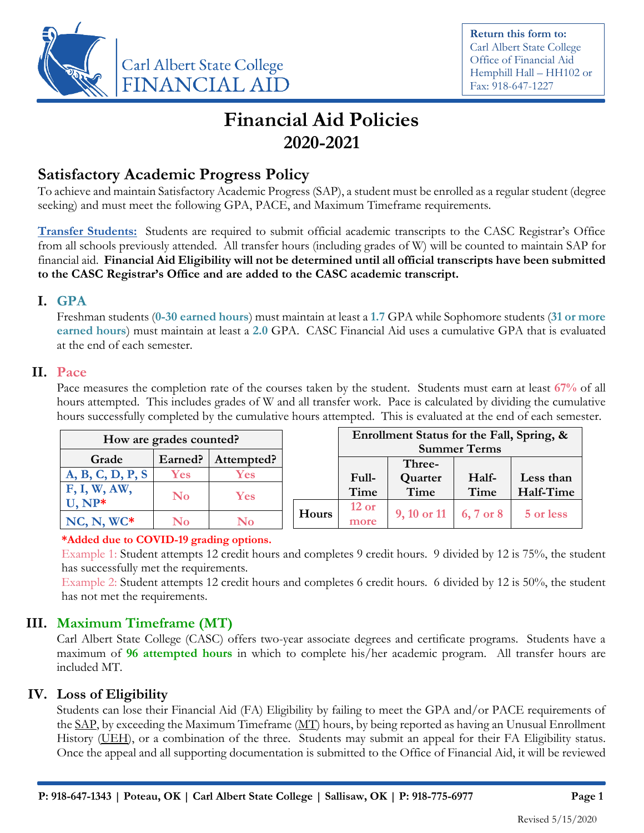

**Return this form to:** Carl Albert State College Office of Financial Aid Hemphill Hall – HH102 or Fax: 918-647-1227

# **Financial Aid Policies 2020-2021**

### **Satisfactory Academic Progress Policy**

To achieve and maintain Satisfactory Academic Progress (SAP), a student must be enrolled as a regular student (degree seeking) and must meet the following GPA, PACE, and Maximum Timeframe requirements.

**Transfer Students:** Students are required to submit official academic transcripts to the CASC Registrar's Office from all schools previously attended. All transfer hours (including grades of W) will be counted to maintain SAP for financial aid. **Financial Aid Eligibility will not be determined until all official transcripts have been submitted to the CASC Registrar's Office and are added to the CASC academic transcript.**

#### **I. GPA**

Freshman students (**0-30 earned hours**) must maintain at least a **1.7** GPA while Sophomore students (**31 or more earned hours**) must maintain at least a **2.0** GPA. CASC Financial Aid uses a cumulative GPA that is evaluated at the end of each semester.

#### **II. Pace**

Pace measures the completion rate of the courses taken by the student. Students must earn at least **67%** of all hours attempted. This includes grades of W and all transfer work. Pace is calculated by dividing the cumulative hours successfully completed by the cumulative hours attempted. This is evaluated at the end of each semester.

| How are grades counted? |          |            |       | Enrollment Status for the Fall, Spring, &<br><b>Summer Terms</b> |                                                 |       |           |
|-------------------------|----------|------------|-------|------------------------------------------------------------------|-------------------------------------------------|-------|-----------|
| Grade                   | Earned?  | Attempted? |       |                                                                  | Three-                                          |       |           |
| A, B, C, D, P, S        | Yes      | Yes        |       | Full-                                                            | Quarter                                         | Half- | Less than |
| F, I, W, AW,            | $\bf No$ | Yes        |       | Time                                                             | Time                                            | Time  | Half-Time |
| U, NP*                  |          |            | Hours | $12$ or                                                          | $9, 10 \text{ or } 11 \quad 6, 7 \text{ or } 8$ |       | 5 or less |
| $NC, N, WC^*$           | No       | $\bf No$   |       | more                                                             |                                                 |       |           |

#### **\*Added due to COVID-19 grading options.**

Example 1: Student attempts 12 credit hours and completes 9 credit hours. 9 divided by 12 is 75%, the student has successfully met the requirements.

Example 2: Student attempts 12 credit hours and completes 6 credit hours. 6 divided by 12 is 50%, the student has not met the requirements.

### **III. Maximum Timeframe (MT)**

Carl Albert State College (CASC) offers two-year associate degrees and certificate programs. Students have a maximum of **96 attempted hours** in which to complete his/her academic program. All transfer hours are included MT.

#### **IV. Loss of Eligibility**

Students can lose their Financial Aid (FA) Eligibility by failing to meet the GPA and/or PACE requirements of the SAP, by exceeding the Maximum Timeframe (MT) hours, by being reported as having an Unusual Enrollment History (UEH), or a combination of the three. Students may submit an appeal for their FA Eligibility status. Once the appeal and all supporting documentation is submitted to the Office of Financial Aid, it will be reviewed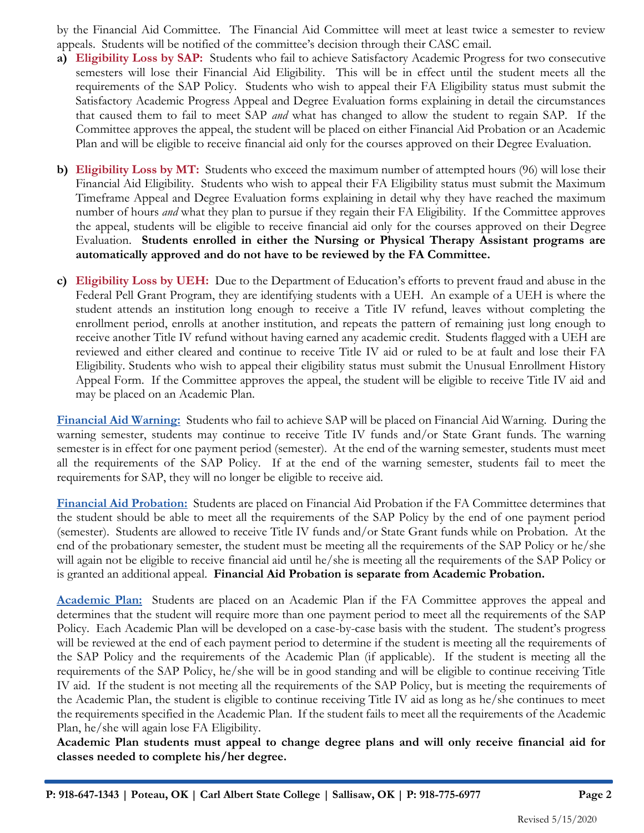by the Financial Aid Committee. The Financial Aid Committee will meet at least twice a semester to review appeals. Students will be notified of the committee's decision through their CASC email.

- **a) Eligibility Loss by SAP:** Students who fail to achieve Satisfactory Academic Progress for two consecutive semesters will lose their Financial Aid Eligibility. This will be in effect until the student meets all the requirements of the SAP Policy. Students who wish to appeal their FA Eligibility status must submit the Satisfactory Academic Progress Appeal and Degree Evaluation forms explaining in detail the circumstances that caused them to fail to meet SAP *and* what has changed to allow the student to regain SAP. If the Committee approves the appeal, the student will be placed on either Financial Aid Probation or an Academic Plan and will be eligible to receive financial aid only for the courses approved on their Degree Evaluation.
- **b) Eligibility Loss by MT:** Students who exceed the maximum number of attempted hours (96) will lose their Financial Aid Eligibility. Students who wish to appeal their FA Eligibility status must submit the Maximum Timeframe Appeal and Degree Evaluation forms explaining in detail why they have reached the maximum number of hours *and* what they plan to pursue if they regain their FA Eligibility. If the Committee approves the appeal, students will be eligible to receive financial aid only for the courses approved on their Degree Evaluation. **Students enrolled in either the Nursing or Physical Therapy Assistant programs are automatically approved and do not have to be reviewed by the FA Committee.**
- **c) Eligibility Loss by UEH:** Due to the Department of Education's efforts to prevent fraud and abuse in the Federal Pell Grant Program, they are identifying students with a UEH. An example of a UEH is where the student attends an institution long enough to receive a Title IV refund, leaves without completing the enrollment period, enrolls at another institution, and repeats the pattern of remaining just long enough to receive another Title IV refund without having earned any academic credit. Students flagged with a UEH are reviewed and either cleared and continue to receive Title IV aid or ruled to be at fault and lose their FA Eligibility. Students who wish to appeal their eligibility status must submit the Unusual Enrollment History Appeal Form. If the Committee approves the appeal, the student will be eligible to receive Title IV aid and may be placed on an Academic Plan.

**Financial Aid Warning:** Students who fail to achieve SAP will be placed on Financial Aid Warning. During the warning semester, students may continue to receive Title IV funds and/or State Grant funds. The warning semester is in effect for one payment period (semester). At the end of the warning semester, students must meet all the requirements of the SAP Policy. If at the end of the warning semester, students fail to meet the requirements for SAP, they will no longer be eligible to receive aid.

**Financial Aid Probation:** Students are placed on Financial Aid Probation if the FA Committee determines that the student should be able to meet all the requirements of the SAP Policy by the end of one payment period (semester). Students are allowed to receive Title IV funds and/or State Grant funds while on Probation. At the end of the probationary semester, the student must be meeting all the requirements of the SAP Policy or he/she will again not be eligible to receive financial aid until he/she is meeting all the requirements of the SAP Policy or is granted an additional appeal. **Financial Aid Probation is separate from Academic Probation.**

**Academic Plan:** Students are placed on an Academic Plan if the FA Committee approves the appeal and determines that the student will require more than one payment period to meet all the requirements of the SAP Policy. Each Academic Plan will be developed on a case-by-case basis with the student. The student's progress will be reviewed at the end of each payment period to determine if the student is meeting all the requirements of the SAP Policy and the requirements of the Academic Plan (if applicable). If the student is meeting all the requirements of the SAP Policy, he/she will be in good standing and will be eligible to continue receiving Title IV aid. If the student is not meeting all the requirements of the SAP Policy, but is meeting the requirements of the Academic Plan, the student is eligible to continue receiving Title IV aid as long as he/she continues to meet the requirements specified in the Academic Plan. If the student fails to meet all the requirements of the Academic Plan, he/she will again lose FA Eligibility.

**Academic Plan students must appeal to change degree plans and will only receive financial aid for classes needed to complete his/her degree.**